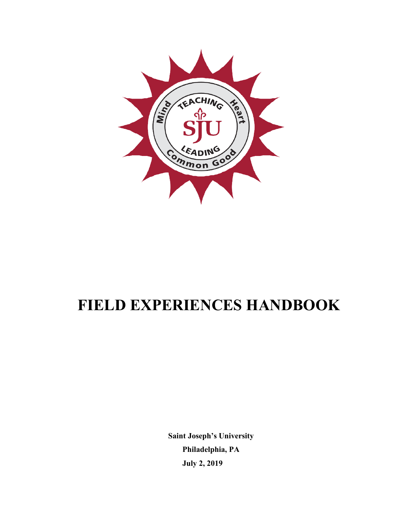

# **FIELD EXPERIENCES HANDBOOK**

**Saint Joseph's University Philadelphia, PA July 2, 2019**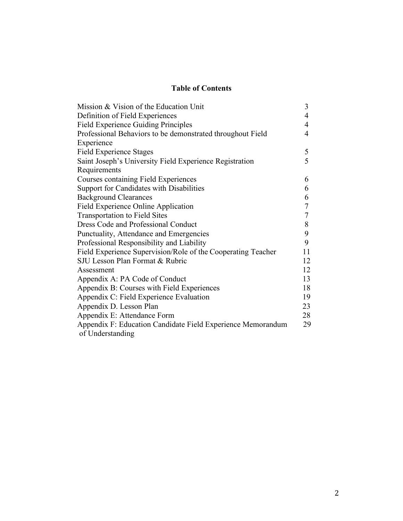# **Table of Contents**

| Mission & Vision of the Education Unit                                          | 3  |
|---------------------------------------------------------------------------------|----|
| Definition of Field Experiences                                                 | 4  |
| <b>Field Experience Guiding Principles</b>                                      | 4  |
| Professional Behaviors to be demonstrated throughout Field                      | 4  |
| Experience                                                                      |    |
| <b>Field Experience Stages</b>                                                  | 5  |
| Saint Joseph's University Field Experience Registration                         | 5  |
| Requirements                                                                    |    |
| <b>Courses containing Field Experiences</b>                                     | 6  |
| <b>Support for Candidates with Disabilities</b>                                 | 6  |
| <b>Background Clearances</b>                                                    | 6  |
| Field Experience Online Application                                             | 7  |
| <b>Transportation to Field Sites</b>                                            | 7  |
| Dress Code and Professional Conduct                                             | 8  |
| Punctuality, Attendance and Emergencies                                         | 9  |
| Professional Responsibility and Liability                                       | 9  |
| Field Experience Supervision/Role of the Cooperating Teacher                    | 11 |
| SJU Lesson Plan Format & Rubric                                                 | 12 |
| Assessment                                                                      | 12 |
| Appendix A: PA Code of Conduct                                                  | 13 |
| Appendix B: Courses with Field Experiences                                      | 18 |
| Appendix C: Field Experience Evaluation                                         | 19 |
| Appendix D. Lesson Plan                                                         | 23 |
| Appendix E: Attendance Form                                                     | 28 |
| Appendix F: Education Candidate Field Experience Memorandum<br>of Understanding | 29 |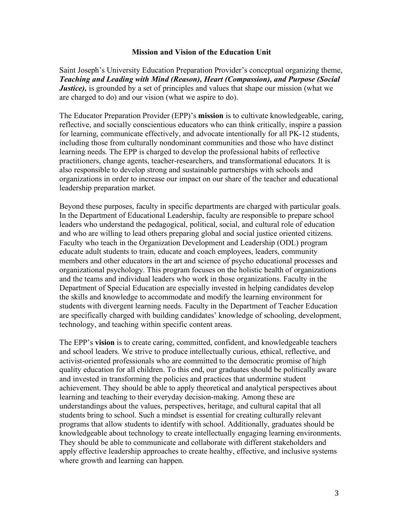#### **Mission and Vision of the Education Unit**

Saint Joseph's University Education Preparation Provider's conceptual organizing theme, *Teaching and Leading with Mind (Reason), Heart (Compassion), and Purpose (Social Justice*), is grounded by a set of principles and values that shape our mission (what we are charged to do) and our vision (what we aspire to do).

The Educator Preparation Provider (EPP)'s **mission** is to cultivate knowledgeable, caring, reflective, and socially conscientious educators who can think critically, inspire a passion for learning, communicate effectively, and advocate intentionally for all PK-12 students, including those from culturally nondominant communities and those who have distinct learning needs. The EPP is charged to develop the professional habits of reflective practitioners, change agents, teacher-researchers, and transformational educators. It is also responsible to develop strong and sustainable partnerships with schools and organizations in order to increase our impact on our share of the teacher and educational leadership preparation market.

Beyond these purposes, faculty in specific departments are charged with particular goals. In the Department of Educational Leadership, faculty are responsible to prepare school leaders who understand the pedagogical, political, social, and cultural role of education and who are willing to lead others preparing global and social justice oriented citizens. Faculty who teach in the Organization Development and Leadership (ODL) program educate adult students to train, educate and coach employees, leaders, community members and other educators in the art and science of psycho educational processes and organizational psychology. This program focuses on the holistic health of organizations and the teams and individual leaders who work in those organizations. Faculty in the Department of Special Education are especially invested in helping candidates develop the skills and knowledge to accommodate and modify the learning environment for students with divergent learning needs. Faculty in the Department of Teacher Education are specifically charged with building candidates' knowledge of schooling, development, technology, and teaching within specific content areas.

The EPP's **vision** is to create caring, committed, confident, and knowledgeable teachers and school leaders. We strive to produce intellectually curious, ethical, reflective, and activist-oriented professionals who are committed to the democratic promise of high quality education for all children. To this end, our graduates should be politically aware and invested in transforming the policies and practices that undermine student achievement. They should be able to apply theoretical and analytical perspectives about learning and teaching to their everyday decision-making. Among these are understandings about the values, perspectives, heritage, and cultural capital that all students bring to school. Such a mindset is essential for creating culturally relevant programs that allow students to identify with school. Additionally, graduates should be knowledgeable about technology to create intellectually engaging learning environments. They should be able to communicate and collaborate with different stakeholders and apply effective leadership approaches to create healthy, effective, and inclusive systems where growth and learning can happen.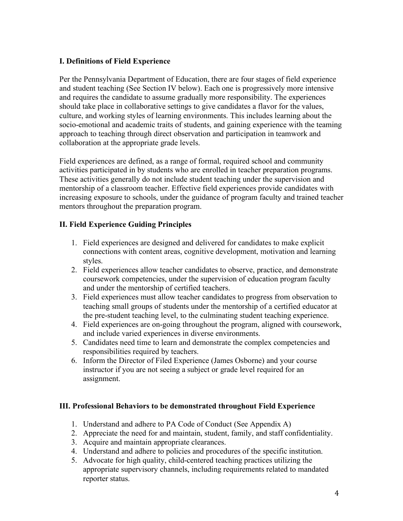# **I. Definitions of Field Experience**

Per the Pennsylvania Department of Education, there are four stages of field experience and student teaching (See Section IV below). Each one is progressively more intensive and requires the candidate to assume gradually more responsibility. The experiences should take place in collaborative settings to give candidates a flavor for the values, culture, and working styles of learning environments. This includes learning about the socio-emotional and academic traits of students, and gaining experience with the teaming approach to teaching through direct observation and participation in teamwork and collaboration at the appropriate grade levels.

Field experiences are defined, as a range of formal, required school and community activities participated in by students who are enrolled in teacher preparation programs. These activities generally do not include student teaching under the supervision and mentorship of a classroom teacher. Effective field experiences provide candidates with increasing exposure to schools, under the guidance of program faculty and trained teacher mentors throughout the preparation program.

# **II. Field Experience Guiding Principles**

- 1. Field experiences are designed and delivered for candidates to make explicit connections with content areas, cognitive development, motivation and learning styles.
- 2. Field experiences allow teacher candidates to observe, practice, and demonstrate coursework competencies, under the supervision of education program faculty and under the mentorship of certified teachers.
- 3. Field experiences must allow teacher candidates to progress from observation to teaching small groups of students under the mentorship of a certified educator at the pre-student teaching level, to the culminating student teaching experience.
- 4. Field experiences are on-going throughout the program, aligned with coursework, and include varied experiences in diverse environments.
- 5. Candidates need time to learn and demonstrate the complex competencies and responsibilities required by teachers.
- 6. Inform the Director of Filed Experience (James Osborne) and your course instructor if you are not seeing a subject or grade level required for an assignment.

# **III. Professional Behaviors to be demonstrated throughout Field Experience**

- 1. Understand and adhere to PA Code of Conduct (See Appendix A)
- 2. Appreciate the need for and maintain, student, family, and staff confidentiality.
- 3. Acquire and maintain appropriate clearances.
- 4. Understand and adhere to policies and procedures of the specific institution.
- 5. Advocate for high quality, child-centered teaching practices utilizing the appropriate supervisory channels, including requirements related to mandated reporter status.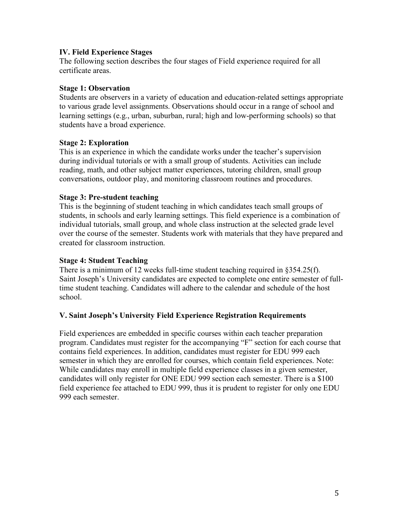## **IV. Field Experience Stages**

The following section describes the four stages of Field experience required for all certificate areas.

## **Stage 1: Observation**

Students are observers in a variety of education and education-related settings appropriate to various grade level assignments. Observations should occur in a range of school and learning settings (e.g., urban, suburban, rural; high and low-performing schools) so that students have a broad experience.

## **Stage 2: Exploration**

This is an experience in which the candidate works under the teacher's supervision during individual tutorials or with a small group of students. Activities can include reading, math, and other subject matter experiences, tutoring children, small group conversations, outdoor play, and monitoring classroom routines and procedures.

## **Stage 3: Pre-student teaching**

This is the beginning of student teaching in which candidates teach small groups of students, in schools and early learning settings. This field experience is a combination of individual tutorials, small group, and whole class instruction at the selected grade level over the course of the semester. Students work with materials that they have prepared and created for classroom instruction.

#### **Stage 4: Student Teaching**

There is a minimum of 12 weeks full-time student teaching required in §354.25(f). Saint Joseph's University candidates are expected to complete one entire semester of fulltime student teaching. Candidates will adhere to the calendar and schedule of the host school.

# **V. Saint Joseph's University Field Experience Registration Requirements**

Field experiences are embedded in specific courses within each teacher preparation program. Candidates must register for the accompanying "F" section for each course that contains field experiences. In addition, candidates must register for EDU 999 each semester in which they are enrolled for courses, which contain field experiences. Note: While candidates may enroll in multiple field experience classes in a given semester, candidates will only register for ONE EDU 999 section each semester. There is a \$100 field experience fee attached to EDU 999, thus it is prudent to register for only one EDU 999 each semester.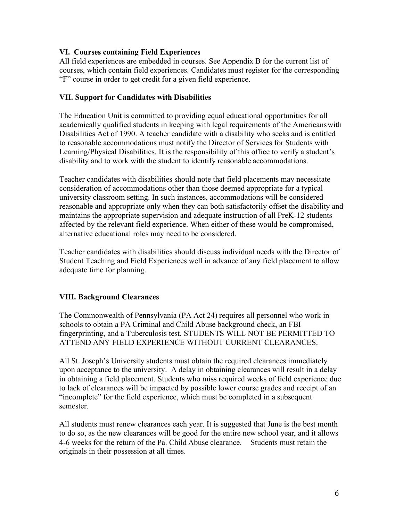# **VI. Courses containing Field Experiences**

All field experiences are embedded in courses. See Appendix B for the current list of courses, which contain field experiences. Candidates must register for the corresponding "F" course in order to get credit for a given field experience.

# **VII. Support for Candidates with Disabilities**

The Education Unit is committed to providing equal educational opportunities for all academically qualified students in keeping with legal requirements of the Americanswith Disabilities Act of 1990. A teacher candidate with a disability who seeks and is entitled to reasonable accommodations must notify the Director of Services for Students with Learning/Physical Disabilities. It is the responsibility of this office to verify a student's disability and to work with the student to identify reasonable accommodations.

Teacher candidates with disabilities should note that field placements may necessitate consideration of accommodations other than those deemed appropriate for a typical university classroom setting. In such instances, accommodations will be considered reasonable and appropriate only when they can both satisfactorily offset the disability and maintains the appropriate supervision and adequate instruction of all PreK-12 students affected by the relevant field experience. When either of these would be compromised, alternative educational roles may need to be considered.

Teacher candidates with disabilities should discuss individual needs with the Director of Student Teaching and Field Experiences well in advance of any field placement to allow adequate time for planning.

# **VIII. Background Clearances**

The Commonwealth of Pennsylvania (PA Act 24) requires all personnel who work in schools to obtain a PA Criminal and Child Abuse background check, an FBI fingerprinting, and a Tuberculosis test. STUDENTS WILL NOT BE PERMITTED TO ATTEND ANY FIELD EXPERIENCE WITHOUT CURRENT CLEARANCES.

All St. Joseph's University students must obtain the required clearances immediately upon acceptance to the university. A delay in obtaining clearances will result in a delay in obtaining a field placement. Students who miss required weeks of field experience due to lack of clearances will be impacted by possible lower course grades and receipt of an "incomplete" for the field experience, which must be completed in a subsequent semester.

All students must renew clearances each year. It is suggested that June is the best month to do so, as the new clearances will be good for the entire new school year, and it allows 4-6 weeks for the return of the Pa. Child Abuse clearance. Students must retain the originals in their possession at all times.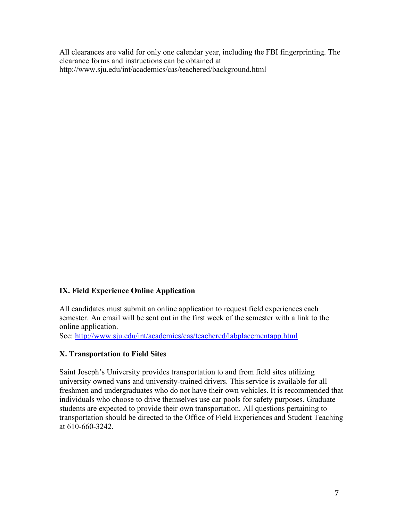All clearances are valid for only one calendar year, including the FBI fingerprinting. The clearance forms and instructions can be obtained at http://www.sju.edu/int/academics/cas/teachered/background.html

# **IX. Field Experience Online Application**

All candidates must submit an online application to request field experiences each semester. An email will be sent out in the first week of the semester with a link to the online application.

See: http://www.sju.edu/int/academics/cas/teachered/labplacementapp.html

# **X. Transportation to Field Sites**

Saint Joseph's University provides transportation to and from field sites utilizing university owned vans and university-trained drivers. This service is available for all freshmen and undergraduates who do not have their own vehicles. It is recommended that individuals who choose to drive themselves use car pools for safety purposes. Graduate students are expected to provide their own transportation. All questions pertaining to transportation should be directed to the Office of Field Experiences and Student Teaching at 610-660-3242.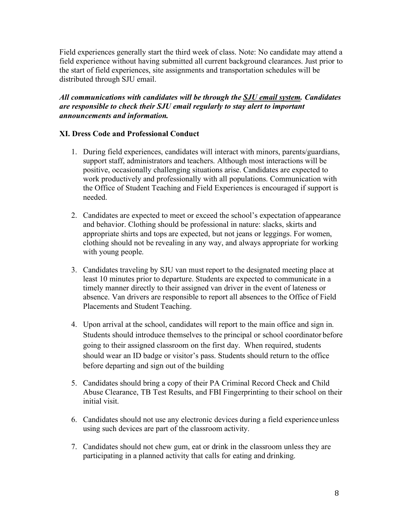Field experiences generally start the third week of class. Note: No candidate may attend a field experience without having submitted all current background clearances. Just prior to the start of field experiences, site assignments and transportation schedules will be distributed through SJU email.

# *All communications with candidates will be through the SJU email system. Candidates are responsible to check their SJU email regularly to stay alert to important announcements and information.*

# **XI. Dress Code and Professional Conduct**

- 1. During field experiences, candidates will interact with minors, parents/guardians, support staff, administrators and teachers. Although most interactions will be positive, occasionally challenging situations arise. Candidates are expected to work productively and professionally with all populations. Communication with the Office of Student Teaching and Field Experiences is encouraged if support is needed.
- 2. Candidates are expected to meet or exceed the school's expectation of appearance and behavior. Clothing should be professional in nature: slacks, skirts and appropriate shirts and tops are expected, but not jeans or leggings. For women, clothing should not be revealing in any way, and always appropriate for working with young people.
- 3. Candidates traveling by SJU van must report to the designated meeting place at least 10 minutes prior to departure. Students are expected to communicate in a timely manner directly to their assigned van driver in the event of lateness or absence. Van drivers are responsible to report all absences to the Office of Field Placements and Student Teaching.
- 4. Upon arrival at the school, candidates will report to the main office and sign in. Students should introduce themselves to the principal or school coordinator before going to their assigned classroom on the first day. When required, students should wear an ID badge or visitor's pass. Students should return to the office before departing and sign out of the building
- 5. Candidates should bring a copy of their PA Criminal Record Check and Child Abuse Clearance, TB Test Results, and FBI Fingerprinting to their school on their initial visit.
- 6. Candidates should not use any electronic devices during a field experienceunless using such devices are part of the classroom activity.
- 7. Candidates should not chew gum, eat or drink in the classroom unless they are participating in a planned activity that calls for eating and drinking.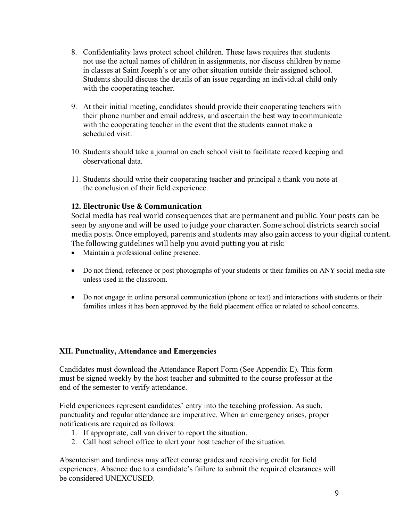- 8. Confidentiality laws protect school children. These laws requires that students not use the actual names of children in assignments, nor discuss children by name in classes at Saint Joseph's or any other situation outside their assigned school. Students should discuss the details of an issue regarding an individual child only with the cooperating teacher.
- 9. At their initial meeting, candidates should provide their cooperating teachers with their phone number and email address, and ascertain the best way tocommunicate with the cooperating teacher in the event that the students cannot make a scheduled visit.
- 10. Students should take a journal on each school visit to facilitate record keeping and observational data.
- 11. Students should write their cooperating teacher and principal a thank you note at the conclusion of their field experience.

# **12. Electronic Use & Communication**

Social media has real world consequences that are permanent and public. Your posts can be seen by anyone and will be used to judge your character. Some school districts search social media posts. Once employed, parents and students may also gain access to your digital content. The following guidelines will help you avoid putting you at risk:

- Maintain a professional online presence.
- Do not friend, reference or post photographs of your students or their families on ANY social media site unless used in the classroom.
- Do not engage in online personal communication (phone or text) and interactions with students or their families unless it has been approved by the field placement office or related to school concerns.

# **XII. Punctuality, Attendance and Emergencies**

Candidates must download the Attendance Report Form (See Appendix E). This form must be signed weekly by the host teacher and submitted to the course professor at the end of the semester to verify attendance.

Field experiences represent candidates' entry into the teaching profession. As such, punctuality and regular attendance are imperative. When an emergency arises, proper notifications are required as follows:

- 1. If appropriate, call van driver to report the situation.
- 2. Call host school office to alert your host teacher of the situation.

Absenteeism and tardiness may affect course grades and receiving credit for field experiences. Absence due to a candidate's failure to submit the required clearances will be considered UNEXCUSED.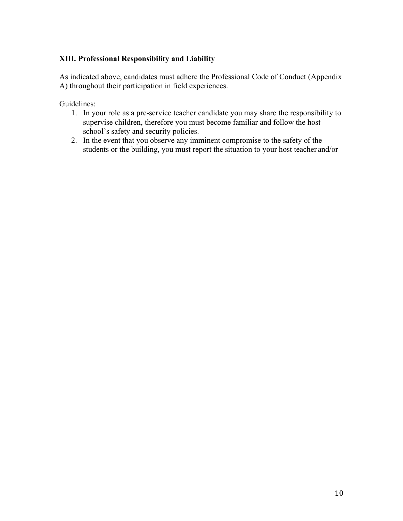# **XIII. Professional Responsibility and Liability**

As indicated above, candidates must adhere the Professional Code of Conduct (Appendix A) throughout their participation in field experiences.

Guidelines:

- 1. In your role as a pre-service teacher candidate you may share the responsibility to supervise children, therefore you must become familiar and follow the host school's safety and security policies.
- 2. In the event that you observe any imminent compromise to the safety of the students or the building, you must report the situation to your host teacher and/or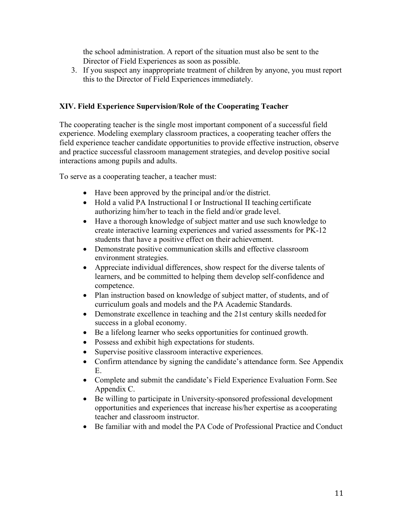the school administration. A report of the situation must also be sent to the Director of Field Experiences as soon as possible.

3. If you suspect any inappropriate treatment of children by anyone, you must report this to the Director of Field Experiences immediately.

# **XIV. Field Experience Supervision/Role of the Cooperating Teacher**

The cooperating teacher is the single most important component of a successful field experience. Modeling exemplary classroom practices, a cooperating teacher offers the field experience teacher candidate opportunities to provide effective instruction, observe and practice successful classroom management strategies, and develop positive social interactions among pupils and adults.

To serve as a cooperating teacher, a teacher must:

- Have been approved by the principal and/or the district.
- Hold a valid PA Instructional I or Instructional II teaching certificate authorizing him/her to teach in the field and/or grade level.
- Have a thorough knowledge of subject matter and use such knowledge to create interactive learning experiences and varied assessments for PK-12 students that have a positive effect on their achievement.
- Demonstrate positive communication skills and effective classroom environment strategies.
- Appreciate individual differences, show respect for the diverse talents of learners, and be committed to helping them develop self-confidence and competence.
- Plan instruction based on knowledge of subject matter, of students, and of curriculum goals and models and the PA Academic Standards.
- Demonstrate excellence in teaching and the 21st century skills needed for success in a global economy.
- Be a lifelong learner who seeks opportunities for continued growth.
- Possess and exhibit high expectations for students.
- Supervise positive classroom interactive experiences.
- Confirm attendance by signing the candidate's attendance form. See Appendix E.
- Complete and submit the candidate's Field Experience Evaluation Form. See Appendix C.
- Be willing to participate in University-sponsored professional development opportunities and experiences that increase his/her expertise as a cooperating teacher and classroom instructor.
- Be familiar with and model the PA Code of Professional Practice and Conduct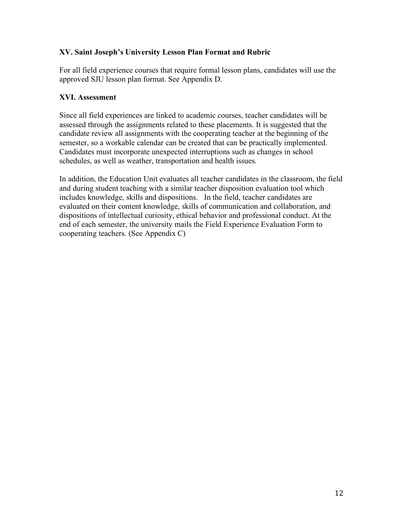# **XV. Saint Joseph's University Lesson Plan Format and Rubric**

For all field experience courses that require formal lesson plans, candidates will use the approved SJU lesson plan format. See Appendix D.

# **XVI. Assessment**

Since all field experiences are linked to academic courses, teacher candidates will be assessed through the assignments related to these placements. It is suggested that the candidate review all assignments with the cooperating teacher at the beginning of the semester, so a workable calendar can be created that can be practically implemented. Candidates must incorporate unexpected interruptions such as changes in school schedules, as well as weather, transportation and health issues.

In addition, the Education Unit evaluates all teacher candidates in the classroom, the field and during student teaching with a similar teacher disposition evaluation tool which includes knowledge, skills and dispositions. In the field, teacher candidates are evaluated on their content knowledge, skills of communication and collaboration, and dispositions of intellectual curiosity, ethical behavior and professional conduct. At the end of each semester, the university mails the Field Experience Evaluation Form to cooperating teachers. (See Appendix C)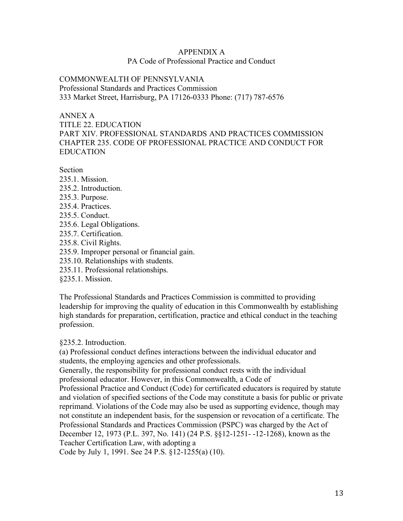## APPENDIX A PA Code of Professional Practice and Conduct

COMMONWEALTH OF PENNSYLVANIA Professional Standards and Practices Commission 333 Market Street, Harrisburg, PA 17126-0333 Phone: (717) 787-6576

## ANNEX A

TITLE 22. EDUCATION PART XIV. PROFESSIONAL STANDARDS AND PRACTICES COMMISSION CHAPTER 235. CODE OF PROFESSIONAL PRACTICE AND CONDUCT FOR EDUCATION

**Section** 

- 235.1. Mission.
- 235.2. Introduction.
- 235.3. Purpose.
- 235.4. Practices.
- 235.5. Conduct.
- 235.6. Legal Obligations.
- 235.7. Certification.
- 235.8. Civil Rights.
- 235.9. Improper personal or financial gain.
- 235.10. Relationships with students.
- 235.11. Professional relationships.
- §235.1. Mission.

The Professional Standards and Practices Commission is committed to providing leadership for improving the quality of education in this Commonwealth by establishing high standards for preparation, certification, practice and ethical conduct in the teaching profession.

§235.2. Introduction.

(a) Professional conduct defines interactions between the individual educator and students, the employing agencies and other professionals.

Generally, the responsibility for professional conduct rests with the individual professional educator. However, in this Commonwealth, a Code of

Professional Practice and Conduct (Code) for certificated educators is required by statute and violation of specified sections of the Code may constitute a basis for public or private reprimand. Violations of the Code may also be used as supporting evidence, though may not constitute an independent basis, for the suspension or revocation of a certificate. The Professional Standards and Practices Commission (PSPC) was charged by the Act of December 12, 1973 (P.L. 397, No. 141) (24 P.S. §§12-1251- -12-1268), known as the Teacher Certification Law, with adopting a

Code by July 1, 1991. See 24 P.S. §12-1255(a) (10).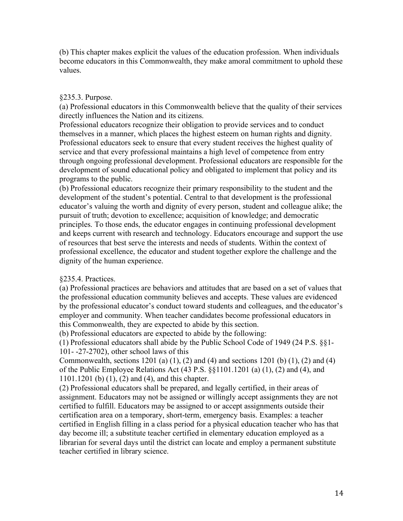(b) This chapter makes explicit the values of the education profession. When individuals become educators in this Commonwealth, they make amoral commitment to uphold these values.

## §235.3. Purpose.

(a) Professional educators in this Commonwealth believe that the quality of their services directly influences the Nation and its citizens.

Professional educators recognize their obligation to provide services and to conduct themselves in a manner, which places the highest esteem on human rights and dignity. Professional educators seek to ensure that every student receives the highest quality of service and that every professional maintains a high level of competence from entry through ongoing professional development. Professional educators are responsible for the development of sound educational policy and obligated to implement that policy and its programs to the public.

(b) Professional educators recognize their primary responsibility to the student and the development of the student's potential. Central to that development is the professional educator's valuing the worth and dignity of every person, student and colleague alike; the pursuit of truth; devotion to excellence; acquisition of knowledge; and democratic principles. To those ends, the educator engages in continuing professional development and keeps current with research and technology. Educators encourage and support the use of resources that best serve the interests and needs of students. Within the context of professional excellence, the educator and student together explore the challenge and the dignity of the human experience.

# §235.4. Practices.

(a) Professional practices are behaviors and attitudes that are based on a set of values that the professional education community believes and accepts. These values are evidenced by the professional educator's conduct toward students and colleagues, and the educator's employer and community. When teacher candidates become professional educators in this Commonwealth, they are expected to abide by this section.

(b) Professional educators are expected to abide by the following:

(1) Professional educators shall abide by the Public School Code of 1949 (24 P.S. §§1- 101- -27-2702), other school laws of this

Commonwealth, sections 1201 (a) (1), (2) and (4) and sections 1201 (b) (1), (2) and (4) of the Public Employee Relations Act (43 P.S. §§1101.1201 (a) (1), (2) and (4), and 1101.1201 (b) (1), (2) and (4), and this chapter.

(2) Professional educators shall be prepared, and legally certified, in their areas of assignment. Educators may not be assigned or willingly accept assignments they are not certified to fulfill. Educators may be assigned to or accept assignments outside their certification area on a temporary, short-term, emergency basis. Examples: a teacher certified in English filling in a class period for a physical education teacher who has that day become ill; a substitute teacher certified in elementary education employed as a librarian for several days until the district can locate and employ a permanent substitute teacher certified in library science.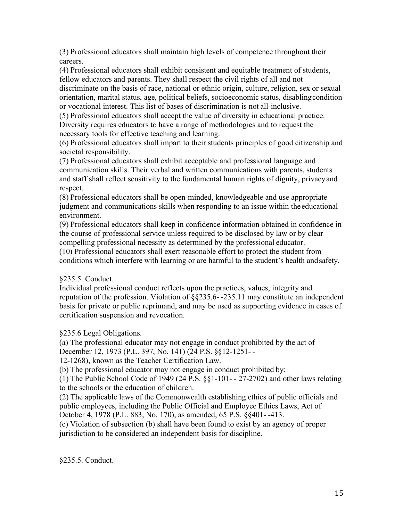(3) Professional educators shall maintain high levels of competence throughout their careers.

(4) Professional educators shall exhibit consistent and equitable treatment of students, fellow educators and parents. They shall respect the civil rights of all and not

discriminate on the basis of race, national or ethnic origin, culture, religion, sex or sexual orientation, marital status, age, political beliefs, socioeconomic status, disablingcondition or vocational interest. This list of bases of discrimination is not all-inclusive.

(5) Professional educators shall accept the value of diversity in educational practice. Diversity requires educators to have a range of methodologies and to request the necessary tools for effective teaching and learning.

(6) Professional educators shall impart to their students principles of good citizenship and societal responsibility.

(7) Professional educators shall exhibit acceptable and professional language and communication skills. Their verbal and written communications with parents, students and staff shall reflect sensitivity to the fundamental human rights of dignity, privacyand respect.

(8) Professional educators shall be open-minded, knowledgeable and use appropriate judgment and communications skills when responding to an issue within the educational environment.

(9) Professional educators shall keep in confidence information obtained in confidence in the course of professional service unless required to be disclosed by law or by clear compelling professional necessity as determined by the professional educator.

(10) Professional educators shall exert reasonable effort to protect the student from conditions which interfere with learning or are harmful to the student's health andsafety.

# §235.5. Conduct.

Individual professional conduct reflects upon the practices, values, integrity and reputation of the profession. Violation of §§235.6- -235.11 may constitute an independent basis for private or public reprimand, and may be used as supporting evidence in cases of certification suspension and revocation.

§235.6 Legal Obligations.

(a) The professional educator may not engage in conduct prohibited by the act of December 12, 1973 (P.L. 397, No. 141) (24 P.S. §§12-1251- -

12-1268), known as the Teacher Certification Law.

(b) The professional educator may not engage in conduct prohibited by:

(1) The Public School Code of 1949 (24 P.S. §§1-101- - 27-2702) and other laws relating to the schools or the education of children.

(2) The applicable laws of the Commonwealth establishing ethics of public officials and public employees, including the Public Official and Employee Ethics Laws, Act of October 4, 1978 (P.L. 883, No. 170), as amended, 65 P.S. §§401- -413.

(c) Violation of subsection (b) shall have been found to exist by an agency of proper jurisdiction to be considered an independent basis for discipline.

§235.5. Conduct.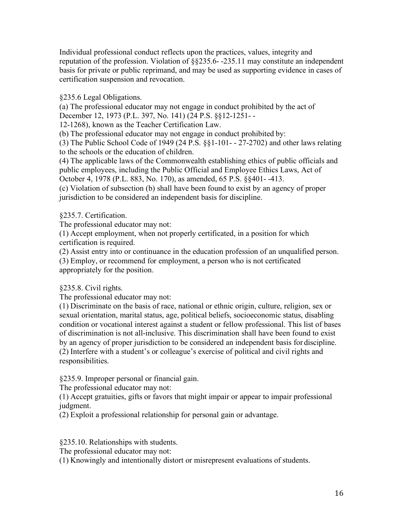Individual professional conduct reflects upon the practices, values, integrity and reputation of the profession. Violation of §§235.6- -235.11 may constitute an independent basis for private or public reprimand, and may be used as supporting evidence in cases of certification suspension and revocation.

§235.6 Legal Obligations.

(a) The professional educator may not engage in conduct prohibited by the act of December 12, 1973 (P.L. 397, No. 141) (24 P.S. §§12-1251- -

12-1268), known as the Teacher Certification Law.

(b) The professional educator may not engage in conduct prohibited by:

(3) The Public School Code of 1949 (24 P.S. §§1-101- - 27-2702) and other laws relating to the schools or the education of children.

(4) The applicable laws of the Commonwealth establishing ethics of public officials and public employees, including the Public Official and Employee Ethics Laws, Act of October 4, 1978 (P.L. 883, No. 170), as amended, 65 P.S. §§401- -413.

(c) Violation of subsection (b) shall have been found to exist by an agency of proper jurisdiction to be considered an independent basis for discipline.

# §235.7. Certification.

The professional educator may not:

(1) Accept employment, when not properly certificated, in a position for which certification is required.

(2) Assist entry into or continuance in the education profession of an unqualified person.

(3) Employ, or recommend for employment, a person who is not certificated appropriately for the position.

# §235.8. Civil rights.

The professional educator may not:

(1) Discriminate on the basis of race, national or ethnic origin, culture, religion, sex or sexual orientation, marital status, age, political beliefs, socioeconomic status, disabling condition or vocational interest against a student or fellow professional. This list of bases of discrimination is not all-inclusive. This discrimination shall have been found to exist by an agency of proper jurisdiction to be considered an independent basis for discipline. (2) Interfere with a student's or colleague's exercise of political and civil rights and responsibilities.

§235.9. Improper personal or financial gain.

The professional educator may not:

(1) Accept gratuities, gifts or favors that might impair or appear to impair professional judgment.

(2) Exploit a professional relationship for personal gain or advantage.

§235.10. Relationships with students.

The professional educator may not:

(1) Knowingly and intentionally distort or misrepresent evaluations of students.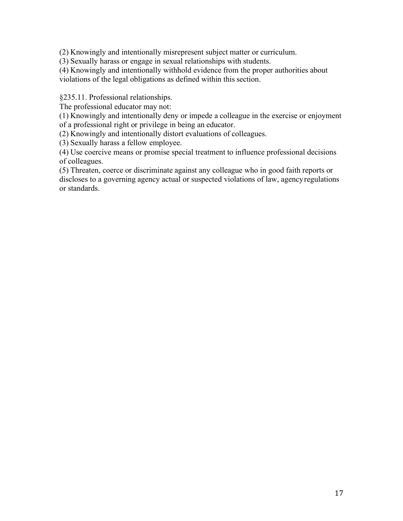(2) Knowingly and intentionally misrepresent subject matter or curriculum.

(3) Sexually harass or engage in sexual relationships with students.

(4) Knowingly and intentionally withhold evidence from the proper authorities about violations of the legal obligations as defined within this section.

§235.11. Professional relationships.

The professional educator may not:

(1) Knowingly and intentionally deny or impede a colleague in the exercise or enjoyment of a professional right or privilege in being an educator.

(2) Knowingly and intentionally distort evaluations of colleagues.

(3) Sexually harass a fellow employee.

(4) Use coercive means or promise special treatment to influence professional decisions of colleagues.

(5) Threaten, coerce or discriminate against any colleague who in good faith reports or discloses to a governing agency actual or suspected violations of law, agencyregulations or standards.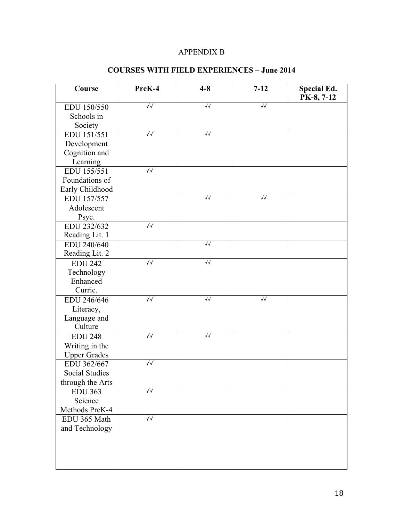# APPENDIX B

| Course                | PreK-4              | $4 - 8$           | $7 - 12$          | <b>Special Ed.</b><br>PK-8, 7-12 |
|-----------------------|---------------------|-------------------|-------------------|----------------------------------|
| EDU 150/550           | $\sqrt{\checkmark}$ | $\sqrt{\sqrt{2}}$ | $\sqrt{2}$        |                                  |
| Schools in            |                     |                   |                   |                                  |
| Society               |                     |                   |                   |                                  |
| EDU 151/551           | $\sqrt{2}$          | $\sqrt{2}$        |                   |                                  |
| Development           |                     |                   |                   |                                  |
| Cognition and         |                     |                   |                   |                                  |
| Learning              |                     |                   |                   |                                  |
| EDU 155/551           | $\sqrt{}$           |                   |                   |                                  |
| Foundations of        |                     |                   |                   |                                  |
| Early Childhood       |                     |                   |                   |                                  |
| EDU 157/557           |                     | $\sqrt{\sqrt{2}}$ | $\sqrt{\sqrt{2}}$ |                                  |
| Adolescent            |                     |                   |                   |                                  |
| Psyc.                 |                     |                   |                   |                                  |
| EDU 232/632           | $\sqrt{}$           |                   |                   |                                  |
| Reading Lit. 1        |                     |                   |                   |                                  |
| EDU 240/640           |                     | $\sqrt{\sqrt{2}}$ |                   |                                  |
| Reading Lit. 2        |                     |                   |                   |                                  |
| <b>EDU 242</b>        | $\sqrt{2}$          | $\sqrt{\sqrt{2}}$ |                   |                                  |
| Technology            |                     |                   |                   |                                  |
| Enhanced              |                     |                   |                   |                                  |
| Curric.               |                     |                   |                   |                                  |
| EDU 246/646           | $\sqrt{}$           | $\sqrt{2}$        | $\sqrt{2}$        |                                  |
| Literacy,             |                     |                   |                   |                                  |
| Language and          |                     |                   |                   |                                  |
| Culture               |                     |                   |                   |                                  |
| <b>EDU 248</b>        | $\sqrt{\checkmark}$ | $\sqrt{\sqrt{2}}$ |                   |                                  |
| Writing in the        |                     |                   |                   |                                  |
| <b>Upper Grades</b>   |                     |                   |                   |                                  |
| EDU 362/667           | $\sqrt{\checkmark}$ |                   |                   |                                  |
| <b>Social Studies</b> |                     |                   |                   |                                  |
| through the Arts      |                     |                   |                   |                                  |
| <b>EDU 363</b>        | √√                  |                   |                   |                                  |
| Science               |                     |                   |                   |                                  |
| Methods PreK-4        | $\sqrt{}$           |                   |                   |                                  |
| EDU 365 Math          |                     |                   |                   |                                  |
| and Technology        |                     |                   |                   |                                  |
|                       |                     |                   |                   |                                  |
|                       |                     |                   |                   |                                  |
|                       |                     |                   |                   |                                  |
|                       |                     |                   |                   |                                  |

# **COURSES WITH FIELD EXPERIENCES – June 2014**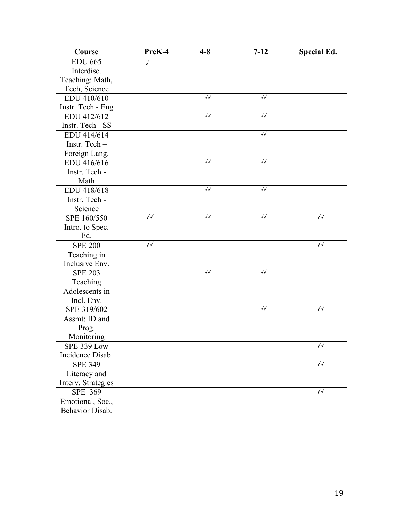| Course             | PreK-4              | $4 - 8$           | $7 - 12$          | <b>Special Ed.</b> |
|--------------------|---------------------|-------------------|-------------------|--------------------|
| <b>EDU 665</b>     | $\sqrt{2}$          |                   |                   |                    |
| Interdisc.         |                     |                   |                   |                    |
| Teaching: Math,    |                     |                   |                   |                    |
| Tech, Science      |                     |                   |                   |                    |
| EDU 410/610        |                     | $\sqrt{\sqrt{2}}$ | $\sqrt{\sqrt{2}}$ |                    |
| Instr. Tech - Eng  |                     |                   |                   |                    |
| EDU 412/612        |                     | $\sqrt{}$         | $\sqrt{}$         |                    |
| Instr. Tech - SS   |                     |                   |                   |                    |
| EDU 414/614        |                     |                   | $\sqrt{\sqrt{2}}$ |                    |
| Instr. Tech-       |                     |                   |                   |                    |
| Foreign Lang.      |                     |                   |                   |                    |
| EDU 416/616        |                     | $\sqrt{\sqrt{2}}$ | $\sqrt{\sqrt{2}}$ |                    |
| Instr. Tech -      |                     |                   |                   |                    |
| Math               |                     |                   |                   |                    |
| EDU 418/618        |                     | $\sqrt{}$         | $\sqrt{\sqrt{2}}$ |                    |
| Instr. Tech -      |                     |                   |                   |                    |
| Science            |                     |                   |                   |                    |
| SPE 160/550        | $\sqrt{}$           | $\sqrt{}$         | $\sqrt{\sqrt{2}}$ | √√                 |
| Intro. to Spec.    |                     |                   |                   |                    |
| Ed.                |                     |                   |                   |                    |
| <b>SPE 200</b>     | $\sqrt{\checkmark}$ |                   |                   | $\sqrt{}$          |
| Teaching in        |                     |                   |                   |                    |
| Inclusive Env.     |                     |                   |                   |                    |
| <b>SPE 203</b>     |                     | $\sqrt{\sqrt{2}}$ | $\sqrt{\sqrt{2}}$ |                    |
| Teaching           |                     |                   |                   |                    |
| Adolescents in     |                     |                   |                   |                    |
| Incl. Env.         |                     |                   |                   |                    |
| SPE 319/602        |                     |                   | $\sqrt{\sqrt{2}}$ | √√                 |
| Assmt: ID and      |                     |                   |                   |                    |
| Prog.              |                     |                   |                   |                    |
| Monitoring         |                     |                   |                   |                    |
| SPE 339 Low        |                     |                   |                   | √√                 |
| Incidence Disab.   |                     |                   |                   |                    |
| <b>SPE 349</b>     |                     |                   |                   | √√                 |
| Literacy and       |                     |                   |                   |                    |
| Interv. Strategies |                     |                   |                   |                    |
| SPE 369            |                     |                   |                   | √√                 |
| Emotional, Soc.,   |                     |                   |                   |                    |
| Behavior Disab.    |                     |                   |                   |                    |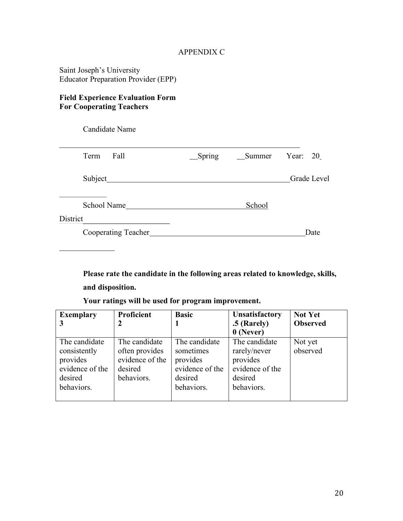## APPENDIX C

Saint Joseph's University Educator Preparation Provider (EPP)

## **Field Experience Evaluation Form For Cooperating Teachers**

Candidate Name Term Fall Spring Summer Year: 20 Subject Grade Level School Name School District Cooperating Teacher Date

**Please rate the candidate in the following areas related to knowledge, skills, and disposition.**

**Your ratings will be used for program improvement.**

| <b>Exemplary</b>                                                                      | <b>Proficient</b>                                                           | <b>Basic</b>                                                                       | <b>Unsatisfactory</b><br>.5 (Rarely)<br>$0$ (Never)                                   | <b>Not Yet</b><br><b>Observed</b> |
|---------------------------------------------------------------------------------------|-----------------------------------------------------------------------------|------------------------------------------------------------------------------------|---------------------------------------------------------------------------------------|-----------------------------------|
| The candidate<br>consistently<br>provides<br>evidence of the<br>desired<br>behaviors. | The candidate<br>often provides<br>evidence of the<br>desired<br>behaviors. | The candidate<br>sometimes<br>provides<br>evidence of the<br>desired<br>behaviors. | The candidate<br>rarely/never<br>provides<br>evidence of the<br>desired<br>behaviors. | Not yet<br>observed               |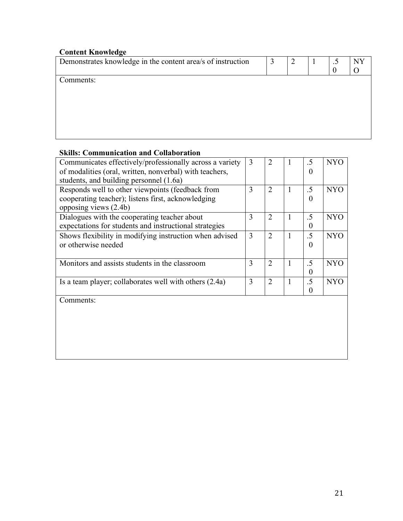| <b>Content Knowledge</b>                                    |   |   |        |    |
|-------------------------------------------------------------|---|---|--------|----|
| Demonstrates knowledge in the content area/s of instruction | 3 | 2 | $.5\,$ | NY |
|                                                             |   |   | 0      |    |
| Comments:                                                   |   |   |        |    |
|                                                             |   |   |        |    |
|                                                             |   |   |        |    |
|                                                             |   |   |        |    |
|                                                             |   |   |        |    |
|                                                             |   |   |        |    |
|                                                             |   |   |        |    |
|                                                             |   |   |        |    |

# **Skills: Communication and Collaboration**

| Communicates effectively/professionally across a variety | 3 | $\overline{2}$ |              | .5             | <b>NYO</b> |
|----------------------------------------------------------|---|----------------|--------------|----------------|------------|
| of modalities (oral, written, nonverbal) with teachers,  |   |                |              | 0              |            |
| students, and building personnel (1.6a)                  |   |                |              |                |            |
| Responds well to other viewpoints (feedback from         | 3 | $\overline{2}$ | $\mathbf{1}$ | $.5\,$         | <b>NYO</b> |
| cooperating teacher); listens first, acknowledging       |   |                |              | $\theta$       |            |
| opposing views (2.4b)                                    |   |                |              |                |            |
| Dialogues with the cooperating teacher about             | 3 | $\overline{2}$ | 1            | $.5\,$         | <b>NYO</b> |
| expectations for students and instructional strategies   |   |                |              | 0              |            |
| Shows flexibility in modifying instruction when advised  | 3 | $\overline{2}$ | 1            | .5             | <b>NYO</b> |
| or otherwise needed                                      |   |                |              | $\overline{0}$ |            |
|                                                          |   |                |              |                |            |
| Monitors and assists students in the classroom           | 3 | $\overline{2}$ | 1            | .5             | <b>NYO</b> |
|                                                          |   |                |              | 0              |            |
| Is a team player; collaborates well with others (2.4a)   | 3 | $\overline{2}$ | 1            | $.5\,$         | <b>NYO</b> |
|                                                          |   |                |              | $\Omega$       |            |
| Comments:                                                |   |                |              |                |            |
|                                                          |   |                |              |                |            |
|                                                          |   |                |              |                |            |
|                                                          |   |                |              |                |            |
|                                                          |   |                |              |                |            |
|                                                          |   |                |              |                |            |
|                                                          |   |                |              |                |            |
|                                                          |   |                |              |                |            |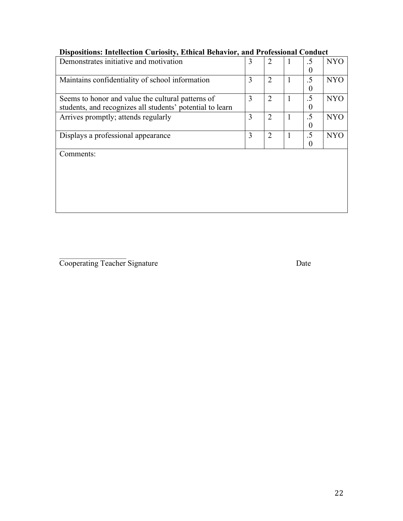| $\cdots$                                                  |   |                |   |    |            |
|-----------------------------------------------------------|---|----------------|---|----|------------|
| Demonstrates initiative and motivation                    | 3 | $\overline{2}$ |   | .5 | <b>NYO</b> |
|                                                           |   |                |   | 0  |            |
| Maintains confidentiality of school information           | 3 | $\overline{2}$ | 1 | .5 | <b>NYO</b> |
|                                                           |   |                |   | 0  |            |
| Seems to honor and value the cultural patterns of         | 3 | $\overline{2}$ | 1 | .5 | <b>NYO</b> |
| students, and recognizes all students' potential to learn |   |                |   | 0  |            |
| Arrives promptly; attends regularly                       | 3 | $\overline{2}$ |   | .5 | <b>NYO</b> |
|                                                           |   |                |   | 0  |            |
| Displays a professional appearance                        | 3 | $\overline{2}$ |   | .5 | <b>NYO</b> |
|                                                           |   |                |   |    |            |
| Comments:                                                 |   |                |   |    |            |
|                                                           |   |                |   |    |            |
|                                                           |   |                |   |    |            |
|                                                           |   |                |   |    |            |
|                                                           |   |                |   |    |            |

# **Dispositions: Intellection Curiosity, Ethical Behavior, and Professional Conduct**

**Cooperating Teacher Signature Date**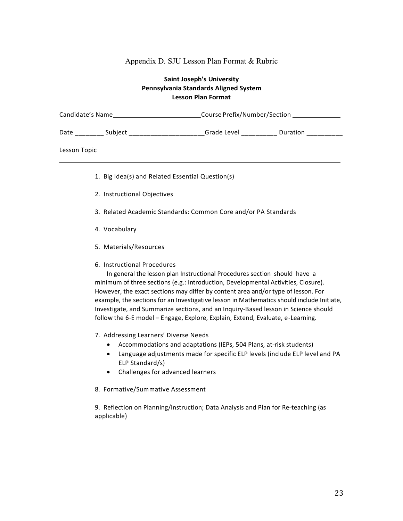#### Appendix D. SJU Lesson Plan Format & Rubric

#### **Saint Joseph's University Pennsylvania Standards Aligned System Lesson Plan Format**

| Candidate's Name |                                                  | Course Prefix/Number/Section |          |  |  |
|------------------|--------------------------------------------------|------------------------------|----------|--|--|
|                  |                                                  | Grade Level __________       | Duration |  |  |
| Lesson Topic     |                                                  |                              |          |  |  |
|                  | 1. Big Idea(s) and Related Essential Question(s) |                              |          |  |  |

- 2. Instructional Objectives
- 3. Related Academic Standards: Common Core and/or PA Standards
- 4. Vocabulary
- 5. Materials/Resources
- 6. Instructional Procedures

In general the lesson plan Instructional Procedures section should have a minimum of three sections (e.g.: Introduction, Developmental Activities, Closure). However, the exact sections may differ by content area and/or type of lesson. For example, the sections for an Investigative lesson in Mathematics should include Initiate, Investigate, and Summarize sections, and an Inquiry-Based lesson in Science should follow the 6-E model – Engage, Explore, Explain, Extend, Evaluate, e-Learning.

- 7. Addressing Learners' Diverse Needs
	- Accommodations and adaptations (IEPs, 504 Plans, at-risk students)
	- Language adjustments made for specific ELP levels (include ELP level and PA ELP Standard/s)
	- Challenges for advanced learners
- 8. Formative/Summative Assessment

9. Reflection on Planning/Instruction; Data Analysis and Plan for Re-teaching (as applicable)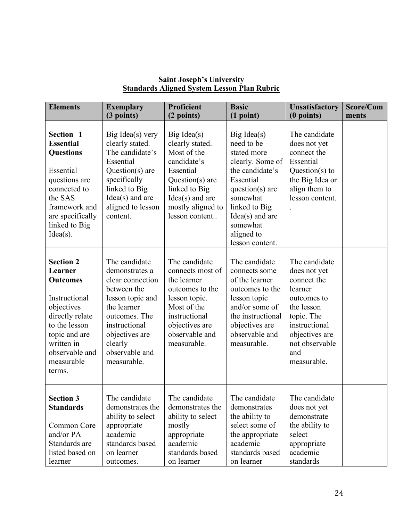| <b>Elements</b>                                                                                                                                                                            | <b>Exemplary</b><br>(3 points)                                                                                                                                                                        | <b>Proficient</b><br>(2 points)                                                                                                                                                       | <b>Basic</b><br>(1 point)                                                                                                                                                                                                      | <b>Unsatisfactory</b><br>$(0$ points)                                                                                                                                         | Score/Com<br>ments |
|--------------------------------------------------------------------------------------------------------------------------------------------------------------------------------------------|-------------------------------------------------------------------------------------------------------------------------------------------------------------------------------------------------------|---------------------------------------------------------------------------------------------------------------------------------------------------------------------------------------|--------------------------------------------------------------------------------------------------------------------------------------------------------------------------------------------------------------------------------|-------------------------------------------------------------------------------------------------------------------------------------------------------------------------------|--------------------|
| Section 1<br><b>Essential</b><br><b>Questions</b><br>Essential<br>questions are<br>connected to<br>the SAS<br>framework and<br>are specifically<br>linked to Big<br>$Idea(s)$ .            | Big Idea(s) very<br>clearly stated.<br>The candidate's<br>Essential<br>Question(s) are<br>specifically<br>linked to Big<br>$Idea(s)$ and are<br>aligned to lesson<br>content.                         | $Big \, \text{Idea}(s)$<br>clearly stated.<br>Most of the<br>candidate's<br>Essential<br>Question(s) are<br>linked to Big<br>$Idea(s)$ and are<br>mostly aligned to<br>lesson content | $Big \, \text{Idea}(s)$<br>need to be<br>stated more<br>clearly. Some of<br>the candidate's<br>Essential<br>question( $s$ ) are<br>somewhat<br>linked to Big<br>$Idea(s)$ and are<br>somewhat<br>aligned to<br>lesson content. | The candidate<br>does not yet<br>connect the<br>Essential<br>Question( $s$ ) to<br>the Big Idea or<br>align them to<br>lesson content.                                        |                    |
| <b>Section 2</b><br>Learner<br><b>Outcomes</b><br>Instructional<br>objectives<br>directly relate<br>to the lesson<br>topic and are<br>written in<br>observable and<br>measurable<br>terms. | The candidate<br>demonstrates a<br>clear connection<br>between the<br>lesson topic and<br>the learner<br>outcomes. The<br>instructional<br>objectives are<br>clearly<br>observable and<br>measurable. | The candidate<br>connects most of<br>the learner<br>outcomes to the<br>lesson topic.<br>Most of the<br>instructional<br>objectives are<br>observable and<br>measurable.               | The candidate<br>connects some<br>of the learner<br>outcomes to the<br>lesson topic<br>and/or some of<br>the instructional<br>objectives are<br>observable and<br>measurable.                                                  | The candidate<br>does not yet<br>connect the<br>learner<br>outcomes to<br>the lesson<br>topic. The<br>instructional<br>objectives are<br>not observable<br>and<br>measurable. |                    |
| <b>Section 3</b><br><b>Standards</b><br>Common Core<br>and/or PA<br>Standards are<br>listed based on<br>learner                                                                            | The candidate<br>demonstrates the<br>ability to select<br>appropriate<br>academic<br>standards based<br>on learner<br>outcomes.                                                                       | The candidate<br>demonstrates the<br>ability to select<br>mostly<br>appropriate<br>academic<br>standards based<br>on learner                                                          | The candidate<br>demonstrates<br>the ability to<br>select some of<br>the appropriate<br>academic<br>standards based<br>on learner                                                                                              | The candidate<br>does not yet<br>demonstrate<br>the ability to<br>select<br>appropriate<br>academic<br>standards                                                              |                    |

# **Saint Joseph's University Standards Aligned System Lesson Plan Rubric**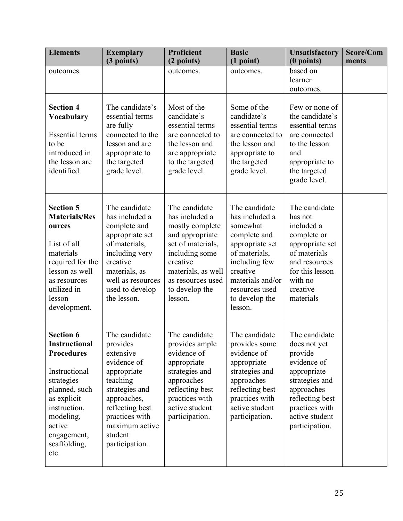| <b>Elements</b>                                                                                                                                                                                            | <b>Exemplary</b><br>(3 points)                                                                                                                                                                        | <b>Proficient</b><br>(2 points)                                                                                                                                                                  | <b>Basic</b><br>(1 point)                                                                                                                                                                       | <b>Unsatisfactory</b><br>$(0$ points)                                                                                                                                           | Score/Com<br>ments |
|------------------------------------------------------------------------------------------------------------------------------------------------------------------------------------------------------------|-------------------------------------------------------------------------------------------------------------------------------------------------------------------------------------------------------|--------------------------------------------------------------------------------------------------------------------------------------------------------------------------------------------------|-------------------------------------------------------------------------------------------------------------------------------------------------------------------------------------------------|---------------------------------------------------------------------------------------------------------------------------------------------------------------------------------|--------------------|
| outcomes.                                                                                                                                                                                                  |                                                                                                                                                                                                       | outcomes.                                                                                                                                                                                        | outcomes.                                                                                                                                                                                       | based on<br>learner<br>outcomes.                                                                                                                                                |                    |
| <b>Section 4</b><br><b>Vocabulary</b><br><b>Essential terms</b><br>to be<br>introduced in<br>the lesson are<br>identified.                                                                                 | The candidate's<br>essential terms<br>are fully<br>connected to the<br>lesson and are<br>appropriate to<br>the targeted<br>grade level.                                                               | Most of the<br>candidate's<br>essential terms<br>are connected to<br>the lesson and<br>are appropriate<br>to the targeted<br>grade level.                                                        | Some of the<br>candidate's<br>essential terms<br>are connected to<br>the lesson and<br>appropriate to<br>the targeted<br>grade level.                                                           | Few or none of<br>the candidate's<br>essential terms<br>are connected<br>to the lesson<br>and<br>appropriate to<br>the targeted<br>grade level.                                 |                    |
| <b>Section 5</b><br><b>Materials/Res</b><br>ources<br>List of all<br>materials<br>required for the<br>lesson as well<br>as resources<br>utilized in<br>lesson<br>development.                              | The candidate<br>has included a<br>complete and<br>appropriate set<br>of materials,<br>including very<br>creative<br>materials, as<br>well as resources<br>used to develop<br>the lesson.             | The candidate<br>has included a<br>mostly complete<br>and appropriate<br>set of materials,<br>including some<br>creative<br>materials, as well<br>as resources used<br>to develop the<br>lesson. | The candidate<br>has included a<br>somewhat<br>complete and<br>appropriate set<br>of materials,<br>including few<br>creative<br>materials and/or<br>resources used<br>to develop the<br>lesson. | The candidate<br>has not<br>included a<br>complete or<br>appropriate set<br>of materials<br>and resources<br>for this lesson<br>with no<br>creative<br>materials                |                    |
| <b>Section 6</b><br><b>Instructional</b><br><b>Procedures</b><br>Instructional<br>strategies<br>planned, such<br>as explicit<br>instruction,<br>modeling,<br>active<br>engagement,<br>scaffolding,<br>etc. | The candidate<br>provides<br>extensive<br>evidence of<br>appropriate<br>teaching<br>strategies and<br>approaches,<br>reflecting best<br>practices with<br>maximum active<br>student<br>participation. | The candidate<br>provides ample<br>evidence of<br>appropriate<br>strategies and<br>approaches<br>reflecting best<br>practices with<br>active student<br>participation.                           | The candidate<br>provides some<br>evidence of<br>appropriate<br>strategies and<br>approaches<br>reflecting best<br>practices with<br>active student<br>participation.                           | The candidate<br>does not yet<br>provide<br>evidence of<br>appropriate<br>strategies and<br>approaches<br>reflecting best<br>practices with<br>active student<br>participation. |                    |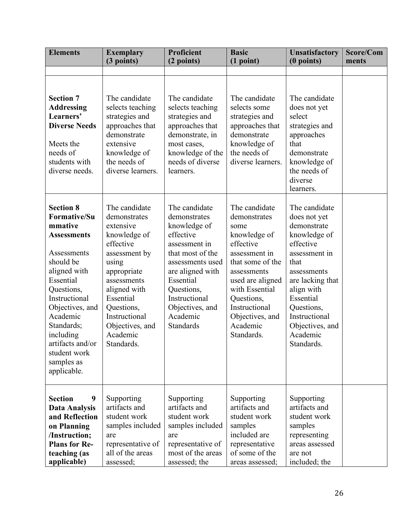| <b>Elements</b>                                                                                                                                                                                                                                                                             | <b>Exemplary</b><br>(3 points)                                                                                                                                                                                                           | <b>Proficient</b><br>(2 points)                                                                                                                                                                                                        | <b>Basic</b><br>(1 point)                                                                                                                                                                                                                | <b>Unsatisfactory</b><br>(0 points)                                                                                                                                                                                                          | Score/Com<br>ments |
|---------------------------------------------------------------------------------------------------------------------------------------------------------------------------------------------------------------------------------------------------------------------------------------------|------------------------------------------------------------------------------------------------------------------------------------------------------------------------------------------------------------------------------------------|----------------------------------------------------------------------------------------------------------------------------------------------------------------------------------------------------------------------------------------|------------------------------------------------------------------------------------------------------------------------------------------------------------------------------------------------------------------------------------------|----------------------------------------------------------------------------------------------------------------------------------------------------------------------------------------------------------------------------------------------|--------------------|
|                                                                                                                                                                                                                                                                                             |                                                                                                                                                                                                                                          |                                                                                                                                                                                                                                        |                                                                                                                                                                                                                                          |                                                                                                                                                                                                                                              |                    |
| <b>Section 7</b><br><b>Addressing</b><br>Learners'<br><b>Diverse Needs</b><br>Meets the<br>needs of<br>students with<br>diverse needs.                                                                                                                                                      | The candidate<br>selects teaching<br>strategies and<br>approaches that<br>demonstrate<br>extensive<br>knowledge of<br>the needs of<br>diverse learners.                                                                                  | The candidate<br>selects teaching<br>strategies and<br>approaches that<br>demonstrate, in<br>most cases,<br>knowledge of the<br>needs of diverse<br>learners.                                                                          | The candidate<br>selects some<br>strategies and<br>approaches that<br>demonstrate<br>knowledge of<br>the needs of<br>diverse learners.                                                                                                   | The candidate<br>does not yet<br>select<br>strategies and<br>approaches<br>that<br>demonstrate<br>knowledge of<br>the needs of<br>diverse<br>learners.                                                                                       |                    |
| <b>Section 8</b><br><b>Formative/Su</b><br>mmative<br><b>Assessments</b><br>Assessments<br>should be<br>aligned with<br>Essential<br>Questions,<br>Instructional<br>Objectives, and<br>Academic<br>Standards;<br>including<br>artifacts and/or<br>student work<br>samples as<br>applicable. | The candidate<br>demonstrates<br>extensive<br>knowledge of<br>effective<br>assessment by<br>using<br>appropriate<br>assessments<br>aligned with<br>Essential<br>Questions,<br>Instructional<br>Objectives, and<br>Academic<br>Standards. | The candidate<br>demonstrates<br>knowledge of<br>effective<br>assessment in<br>that most of the<br>assessments used<br>are aligned with<br>Essential<br>Questions,<br>Instructional<br>Objectives, and<br>Academic<br><b>Standards</b> | The candidate<br>demonstrates<br>some<br>knowledge of<br>effective<br>assessment in<br>that some of the<br>assessments<br>used are aligned<br>with Essential<br>Questions,<br>Instructional<br>Objectives, and<br>Academic<br>Standards. | The candidate<br>does not yet<br>demonstrate<br>knowledge of<br>effective<br>assessment in<br>that<br>assessments<br>are lacking that<br>align with<br>Essential<br>Questions,<br>Instructional<br>Objectives, and<br>Academic<br>Standards. |                    |
| <b>Section</b><br>9<br><b>Data Analysis</b><br>and Reflection<br>on Planning<br>/Instruction;<br><b>Plans for Re-</b><br>teaching (as<br>applicable)                                                                                                                                        | Supporting<br>artifacts and<br>student work<br>samples included<br>are<br>representative of<br>all of the areas<br>assessed;                                                                                                             | Supporting<br>artifacts and<br>student work<br>samples included<br>are<br>representative of<br>most of the areas<br>assessed; the                                                                                                      | Supporting<br>artifacts and<br>student work<br>samples<br>included are<br>representative<br>of some of the<br>areas assessed;                                                                                                            | Supporting<br>artifacts and<br>student work<br>samples<br>representing<br>areas assessed<br>are not<br>included; the                                                                                                                         |                    |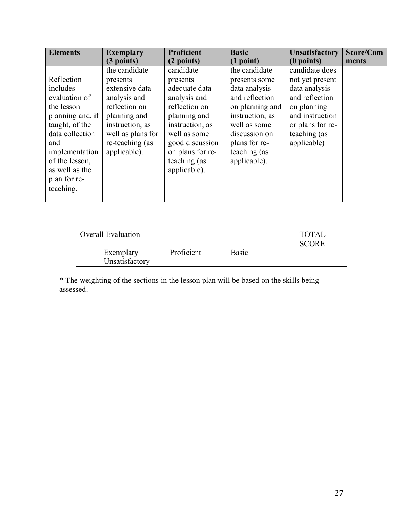| <b>Elements</b>                                                                                                                                                                                          | <b>Exemplary</b>                                                                                                                                                        | <b>Proficient</b>                                                                                                                                                                                 | <b>Basic</b>                                                                                                                                                                              | <b>Unsatisfactory</b>                                                                                                                                     | Score/Com |
|----------------------------------------------------------------------------------------------------------------------------------------------------------------------------------------------------------|-------------------------------------------------------------------------------------------------------------------------------------------------------------------------|---------------------------------------------------------------------------------------------------------------------------------------------------------------------------------------------------|-------------------------------------------------------------------------------------------------------------------------------------------------------------------------------------------|-----------------------------------------------------------------------------------------------------------------------------------------------------------|-----------|
|                                                                                                                                                                                                          | $(3$ points)                                                                                                                                                            | (2 points)                                                                                                                                                                                        | (1 point)                                                                                                                                                                                 | $(0$ points)                                                                                                                                              | ments     |
| Reflection<br>includes<br>evaluation of<br>the lesson<br>planning and, if<br>taught, of the<br>data collection<br>and<br>implementation<br>of the lesson,<br>as well as the<br>plan for re-<br>teaching. | the candidate<br>presents<br>extensive data<br>analysis and<br>reflection on<br>planning and<br>instruction, as<br>well as plans for<br>re-teaching (as<br>applicable). | candidate<br>presents<br>adequate data<br>analysis and<br>reflection on<br>planning and<br>instruction, as<br>well as some<br>good discussion<br>on plans for re-<br>teaching (as<br>applicable). | the candidate<br>presents some<br>data analysis<br>and reflection<br>on planning and<br>instruction, as<br>well as some<br>discussion on<br>plans for re-<br>teaching (as<br>applicable). | candidate does<br>not yet present<br>data analysis<br>and reflection<br>on planning<br>and instruction<br>or plans for re-<br>teaching (as<br>applicable) |           |

| <b>Overall Evaluation</b>   |            |              | <b>TOTAL</b><br><b>SCORE</b> |
|-----------------------------|------------|--------------|------------------------------|
| Exemplary<br>Unsatisfactory | Proficient | <b>Basic</b> |                              |

\* The weighting of the sections in the lesson plan will be based on the skills being assessed.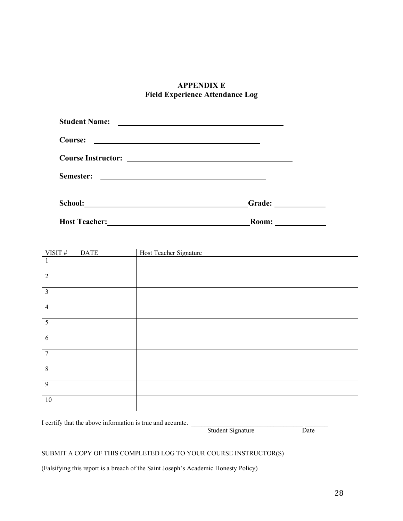# **APPENDIX E Field Experience Attendance Log**

| <b>Student Name:</b>      |        |
|---------------------------|--------|
| Course:                   |        |
| <b>Course Instructor:</b> |        |
| Semester:                 |        |
| School:                   | Grade: |
| <b>Host Teacher:</b>      | Room:  |

| VISIT#                  | <b>DATE</b> | Host Teacher Signature |
|-------------------------|-------------|------------------------|
| $\mathbf{I}$            |             |                        |
| $\overline{2}$          |             |                        |
| $\overline{\mathbf{3}}$ |             |                        |
| $\overline{4}$          |             |                        |
| $\overline{5}$          |             |                        |
| $\sqrt{6}$              |             |                        |
| $\overline{7}$          |             |                        |
| $\overline{8}$          |             |                        |
| 9                       |             |                        |
| $10\,$                  |             |                        |

I certify that the above information is true and accurate. \_\_\_\_\_\_\_\_\_\_\_\_\_\_\_\_\_\_\_\_\_\_\_\_\_\_\_\_\_\_\_\_\_\_ \_\_\_\_\_\_\_

Student Signature

# SUBMIT A COPY OF THIS COMPLETED LOG TO YOUR COURSE INSTRUCTOR(S)

(Falsifying this report is a breach of the Saint Joseph's Academic Honesty Policy)